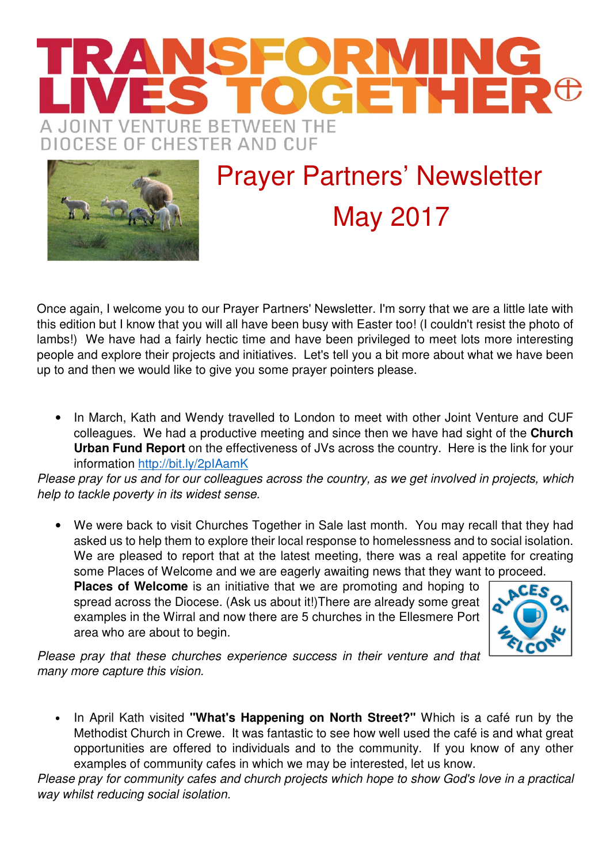



## Prayer Partners' Newsletter May 2017

Once again, I welcome you to our Prayer Partners' Newsletter. I'm sorry that we are a little late with this edition but I know that you will all have been busy with Easter too! (I couldn't resist the photo of lambs!) We have had a fairly hectic time and have been privileged to meet lots more interesting people and explore their projects and initiatives. Let's tell you a bit more about what we have been up to and then we would like to give you some prayer pointers please.

• In March, Kath and Wendy travelled to London to meet with other Joint Venture and CUF colleagues. We had a productive meeting and since then we have had sight of the **Church Urban Fund Report** on the effectiveness of JVs across the country. Here is the link for your information http://bit.ly/2pIAamK

Please pray for us and for our colleagues across the country, as we get involved in projects, which help to tackle poverty in its widest sense.

• We were back to visit Churches Together in Sale last month. You may recall that they had asked us to help them to explore their local response to homelessness and to social isolation. We are pleased to report that at the latest meeting, there was a real appetite for creating some Places of Welcome and we are eagerly awaiting news that they want to proceed.

**Places of Welcome** is an initiative that we are promoting and hoping to spread across the Diocese. (Ask us about it!)There are already some great examples in the Wirral and now there are 5 churches in the Ellesmere Port area who are about to begin.



Please pray that these churches experience success in their venture and that many more capture this vision.

• In April Kath visited **"What's Happening on North Street?"** Which is a café run by the Methodist Church in Crewe. It was fantastic to see how well used the café is and what great opportunities are offered to individuals and to the community. If you know of any other examples of community cafes in which we may be interested, let us know.

Please pray for community cafes and church projects which hope to show God's love in a practical way whilst reducing social isolation.